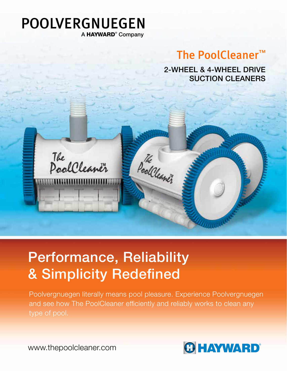## POOLVERGNUEGEN A HAYWARD<sup>®</sup> Company

# The PoolCleaner™

2-WHEEL & 4-WHEEL DRIVE SUCTION CLEANERS

The PoolCleaner

# Performance, Reliability & Simplicity Redefined

Poolvergnuegen literally means pool pleasure. Experience Poolvergnuegen and see how The PoolCleaner efficiently and reliably works to clean any type of pool.

Pool Cleaner

**CHAYWARD®** 

www.thepoolcleaner.com